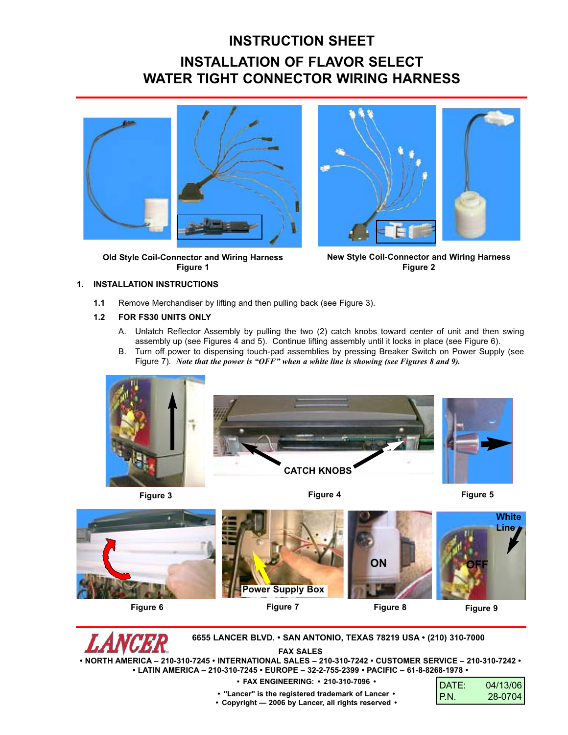## **INSTRUCTION SHEET INSTALLATION OF FLAVOR SELECT WATER TIGHT CONNECTOR WIRING HARNESS**



**Old Style Coil-Connector and Wiring Harness Figure 1**



**New Style Coil-Connector and Wiring Harness Figure 2**

## **1. INSTALLATION INSTRUCTIONS**

**1.1** Remove Merchandiser by lifting and then pulling back (see Figure 3).

## **1.2 FOR FS30 UNITS ONLY**

- A. Unlatch Reflector Assembly by pulling the two (2) catch knobs toward center of unit and then swing assembly up (see Figures 4 and 5). Continue lifting assembly until it locks in place (see Figure 6).
- B. Turn off power to dispensing touch-pad assemblies by pressing Breaker Switch on Power Supply (see Figure 7). *Note that the power is "OFF" when a white line is showing (see Figures 8 and 9).*



**Figure 3**

**Figure 4 Figure 5**





**6655 LANCER BLVD. • SAN ANTONIO, TEXAS 78219 USA • (210) 310-7000**

**FAX SALES**

**• NORTH AMERICA – 210-310-7245 • INTERNATIONAL SALES – 210-310-7242 • CUSTOMER SERVICE – 210-310-7242 • • LATIN AMERICA – 210-310-7245 • EUROPE – 32-2-755-2399 • PACIFIC – 61-8-8268-1978 •**

- **FAX ENGINEERING: 210-310-7096 •**
- DATE: 04/13/06 P.N. 28-0704
- **"Lancer" is the registered trademark of Lancer • • Copyright — 2006 by Lancer, all rights reserved •**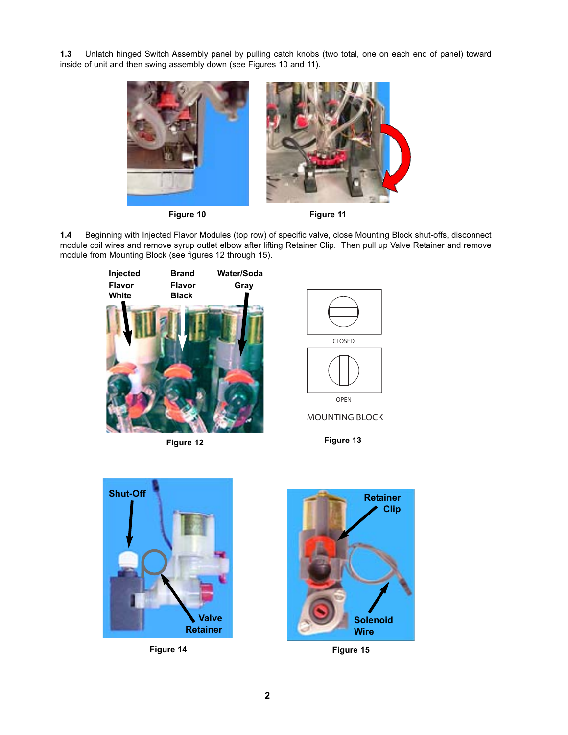**1.3** Unlatch hinged Switch Assembly panel by pulling catch knobs (two total, one on each end of panel) toward inside of unit and then swing assembly down (see Figures 10 and 11).





**1.4** Beginning with Injected Flavor Modules (top row) of specific valve, close Mounting Block shut-offs, disconnect module coil wires and remove syrup outlet elbow after lifting Retainer Clip. Then pull up Valve Retainer and remove module from Mounting Block (see figures 12 through 15).





MOUNTING BLOCK

**Figure 12 Figure 13**



**Figure 14 Figure 15**

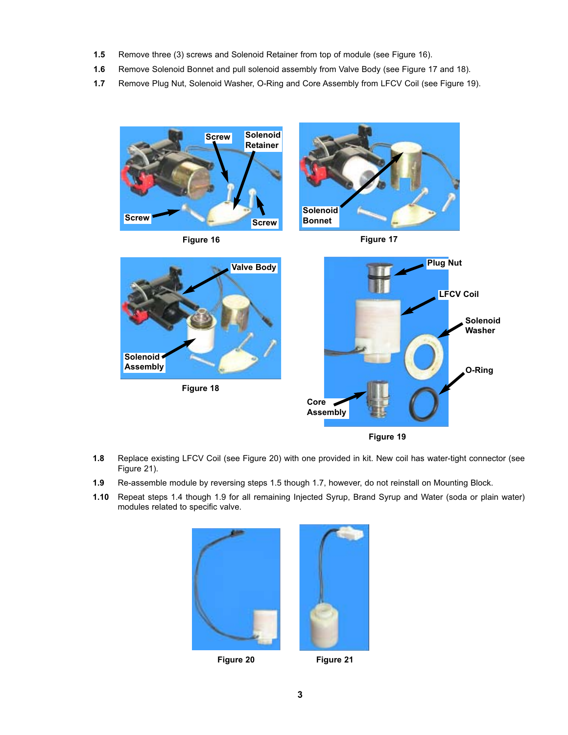- **1.5** Remove three (3) screws and Solenoid Retainer from top of module (see Figure 16).
- **1.6** Remove Solenoid Bonnet and pull solenoid assembly from Valve Body (see Figure 17 and 18).
- **1.7** Remove Plug Nut, Solenoid Washer, O-Ring and Core Assembly from LFCV Coil (see Figure 19).



- **1.8** Replace existing LFCV Coil (see Figure 20) with one provided in kit. New coil has water-tight connector (see Figure 21).
- **1.9** Re-assemble module by reversing steps 1.5 though 1.7, however, do not reinstall on Mounting Block.
- **1.10** Repeat steps 1.4 though 1.9 for all remaining Injected Syrup, Brand Syrup and Water (soda or plain water) modules related to specific valve.



**Figure 20 Figure 21**